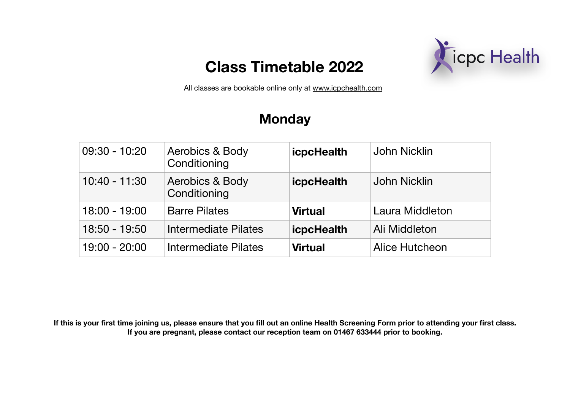

All classes are bookable online only at [www.icpchealth.com](http://www.icpchealth.com)

### **Monday**

| 09:30 - 10:20 | Aerobics & Body<br>Conditioning | icpcHealth        | John Nicklin          |
|---------------|---------------------------------|-------------------|-----------------------|
| 10:40 - 11:30 | Aerobics & Body<br>Conditioning | <b>icpcHealth</b> | John Nicklin          |
| 18:00 - 19:00 | <b>Barre Pilates</b>            | <b>Virtual</b>    | Laura Middleton       |
| 18:50 - 19:50 | Intermediate Pilates            | <b>icpcHealth</b> | Ali Middleton         |
| 19:00 - 20:00 | Intermediate Pilates            | <b>Virtual</b>    | <b>Alice Hutcheon</b> |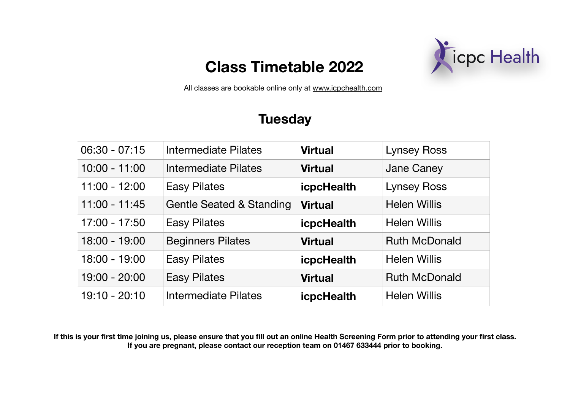

All classes are bookable online only at [www.icpchealth.com](http://www.icpchealth.com)

### **Tuesday**

| $06:30 - 07:15$ | Intermediate Pilates                | <b>Virtual</b>    | <b>Lynsey Ross</b>   |
|-----------------|-------------------------------------|-------------------|----------------------|
| $10:00 - 11:00$ | Intermediate Pilates                | <b>Virtual</b>    | <b>Jane Caney</b>    |
| $11:00 - 12:00$ | <b>Easy Pilates</b>                 | <b>icpcHealth</b> | <b>Lynsey Ross</b>   |
| $11:00 - 11:45$ | <b>Gentle Seated &amp; Standing</b> | <b>Virtual</b>    | <b>Helen Willis</b>  |
| 17:00 - 17:50   | <b>Easy Pilates</b>                 | <b>icpcHealth</b> | <b>Helen Willis</b>  |
| 18:00 - 19:00   | <b>Beginners Pilates</b>            | <b>Virtual</b>    | <b>Ruth McDonald</b> |
| 18:00 - 19:00   | <b>Easy Pilates</b>                 | <b>icpcHealth</b> | <b>Helen Willis</b>  |
| 19:00 - 20:00   | <b>Easy Pilates</b>                 | <b>Virtual</b>    | <b>Ruth McDonald</b> |
| 19:10 - 20:10   | <b>Intermediate Pilates</b>         | <b>icpcHealth</b> | <b>Helen Willis</b>  |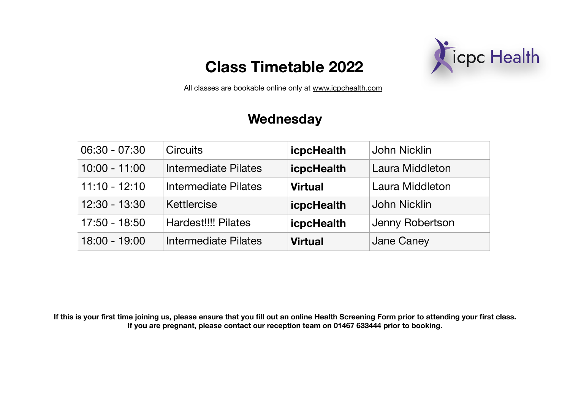

All classes are bookable online only at [www.icpchealth.com](http://www.icpchealth.com)

#### **Wednesday**

| 06:30 - 07:30   | <b>Circuits</b>            | <b>icpcHealth</b> | <b>John Nicklin</b> |
|-----------------|----------------------------|-------------------|---------------------|
| $10:00 - 11:00$ | Intermediate Pilates       | <b>icpcHealth</b> | Laura Middleton     |
| $11:10 - 12:10$ | Intermediate Pilates       | <b>Virtual</b>    | Laura Middleton     |
| $12:30 - 13:30$ | Kettlercise                | <b>icpcHealth</b> | <b>John Nicklin</b> |
| 17:50 - 18:50   | <b>Hardest!!!! Pilates</b> | <b>icpcHealth</b> | Jenny Robertson     |
| $18:00 - 19:00$ | Intermediate Pilates       | <b>Virtual</b>    | Jane Caney          |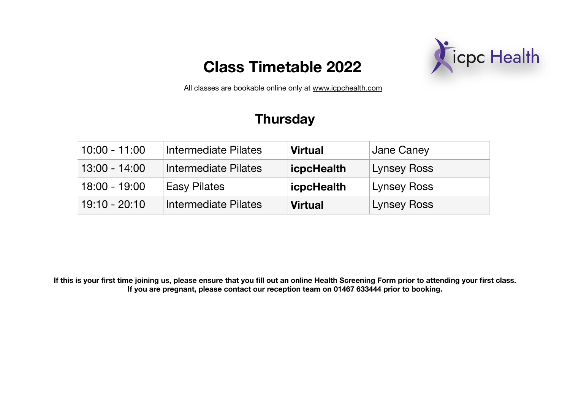

All classes are bookable online only at [www.icpchealth.com](http://www.icpchealth.com)

### **Thursday**

| $10:00 - 11:00$ | Intermediate Pilates | <b>Virtual</b>    | Jane Caney         |
|-----------------|----------------------|-------------------|--------------------|
| $13:00 - 14:00$ | Intermediate Pilates | <b>icpcHealth</b> | <b>Lynsey Ross</b> |
| $18:00 - 19:00$ | <b>Easy Pilates</b>  | <b>icpcHealth</b> | Lynsey Ross        |
| $19:10 - 20:10$ | Intermediate Pilates | <b>Virtual</b>    | <b>Lynsey Ross</b> |